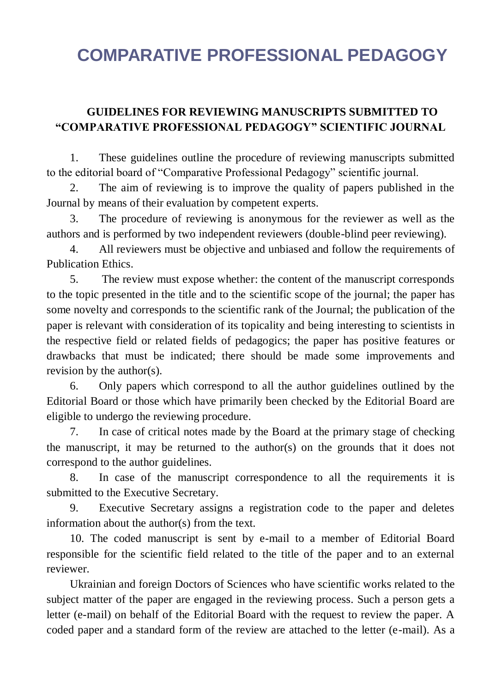## **COMPARATIVE PROFESSIONAL PEDAGOGY**

## **GUIDELINES FOR REVIEWING MANUSCRIPTS SUBMITTED TO "COMPARATIVE PROFESSIONAL PEDAGOGY" SCIENTIFIC JOURNAL**

1. These guidelines outline the procedure of reviewing manuscripts submitted to the editorial board of "Comparative Professional Pedagogy" scientific journal.

2. The aim of reviewing is to improve the quality of papers published in the Journal by means of their evaluation by competent experts.

3. The procedure of reviewing is anonymous for the reviewer as well as the authors and is performed by two independent reviewers (double-blind peer reviewing).

4. All reviewers must be objective and unbiased and follow the requirements of Publication Ethics.

5. The review must expose whether: the content of the manuscript corresponds to the topic presented in the title and to the scientific scope of the journal; the paper has some novelty and corresponds to the scientific rank of the Journal; the publication of the paper is relevant with consideration of its topicality and being interesting to scientists in the respective field or related fields of pedagogics; the paper has positive features or drawbacks that must be indicated; there should be made some improvements and revision by the author(s).

6. Only papers which correspond to all the author guidelines outlined by the Editorial Board or those which have primarily been checked by the Editorial Board are eligible to undergo the reviewing procedure.

7. In case of critical notes made by the Board at the primary stage of checking the manuscript, it may be returned to the author(s) on the grounds that it does not correspond to the author guidelines.

8. In case of the manuscript correspondence to all the requirements it is submitted to the Executive Secretary.

9. Executive Secretary assigns a registration code to the paper and deletes information about the author(s) from the text.

10. The coded manuscript is sent by e-mail to a member of Editorial Board responsible for the scientific field related to the title of the paper and to an external reviewer.

Ukrainian and foreign Doctors of Sciences who have scientific works related to the subject matter of the paper are engaged in the reviewing process. Such a person gets a letter (e-mail) on behalf of the Editorial Board with the request to review the paper. A coded paper and a standard form of the review are attached to the letter (e-mail). As a